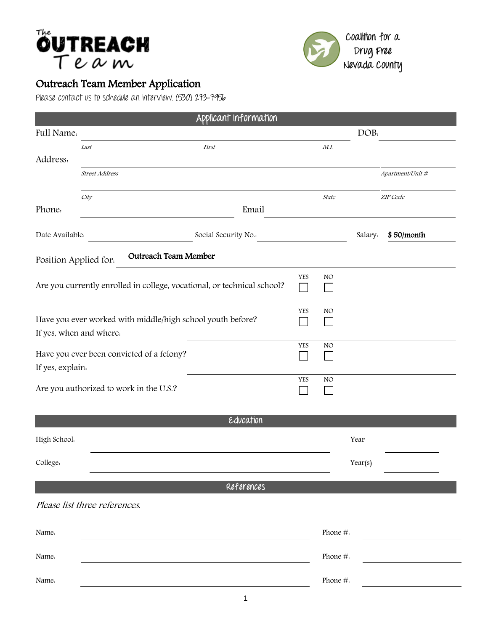



## Outreach Team Member Application

Please contact us to schedule an interview. (530) 273-7956

|                                                                                       |                               | Applicant Information |               |          |          |                  |
|---------------------------------------------------------------------------------------|-------------------------------|-----------------------|---------------|----------|----------|------------------|
| Full Name.                                                                            |                               |                       | DOB:          |          |          |                  |
| Address.                                                                              | Last                          | <b>First</b>          |               | M.I      |          |                  |
|                                                                                       | <b>Street Address</b>         |                       |               |          |          | Apartment/Unit # |
| Phone.                                                                                | City<br>Email                 |                       |               | State    | ZIP Code |                  |
| Date Available.                                                                       |                               | Social Security No.:  |               |          | Salary.  | \$50/month       |
| <b>Outreach Team Member</b><br>Position Applied for.                                  |                               |                       |               |          |          |                  |
| Are you currently enrolled in college, vocational, or technical school?               |                               |                       | YES<br>$\sim$ | NO       |          |                  |
| Have you ever worked with middle/high school youth before?<br>If yes, when and where. |                               |                       | <b>YES</b>    | NO       |          |                  |
| Have you ever been convicted of a felony?<br>If yes, explain.                         |                               |                       | YES           | NO.      |          |                  |
| Are you authorized to work in the U.S.?                                               |                               |                       | YES           | NO.      |          |                  |
|                                                                                       |                               | Education             |               |          |          |                  |
| High School.                                                                          |                               |                       |               |          | Year     |                  |
| College.                                                                              |                               |                       |               |          | Year(s)  |                  |
| References                                                                            |                               |                       |               |          |          |                  |
|                                                                                       | Please list three references. |                       |               |          |          |                  |
| Name.                                                                                 |                               |                       |               | Phone #: |          |                  |
| Name.                                                                                 |                               |                       |               | Phone #. |          |                  |
| Name.                                                                                 |                               |                       | Phone #:      |          |          |                  |